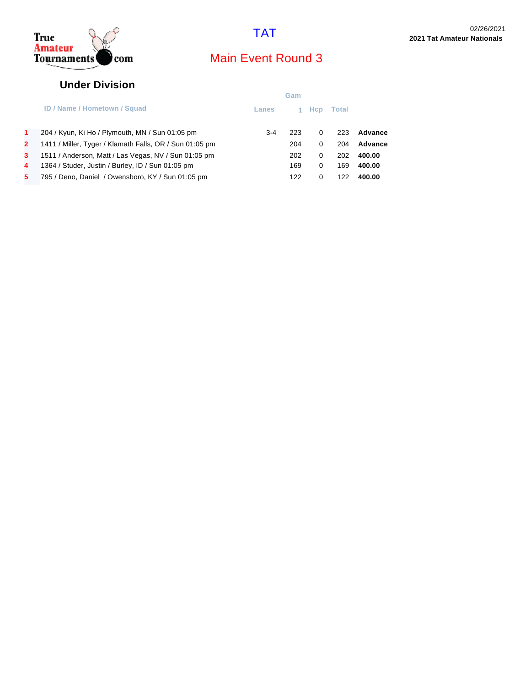

### **Under Division**

|              |                                                         | Gam     |       |            |       |         |
|--------------|---------------------------------------------------------|---------|-------|------------|-------|---------|
|              | <b>ID / Name / Hometown / Squad</b>                     | Lanes   | $1 -$ | <b>Hcp</b> | Total |         |
| $\mathbf{1}$ | 204 / Kyun, Ki Ho / Plymouth, MN / Sun 01:05 pm         | $3 - 4$ | 223   | 0          | 223   | Advance |
| $\mathbf{2}$ | 1411 / Miller, Tyger / Klamath Falls, OR / Sun 01:05 pm |         | 204   | 0          | 204   | Advance |
| $3^{\circ}$  | 1511 / Anderson, Matt / Las Vegas, NV / Sun 01:05 pm    |         | 202   | 0          | 202   | 400.00  |
| 4            | 1364 / Studer, Justin / Burley, ID / Sun 01:05 pm       |         | 169   | 0          | 169   | 400.00  |
| 5.           | 795 / Deno, Daniel / Owensboro, KY / Sun 01:05 pm       |         | 122   | 0          | 122   | 400.00  |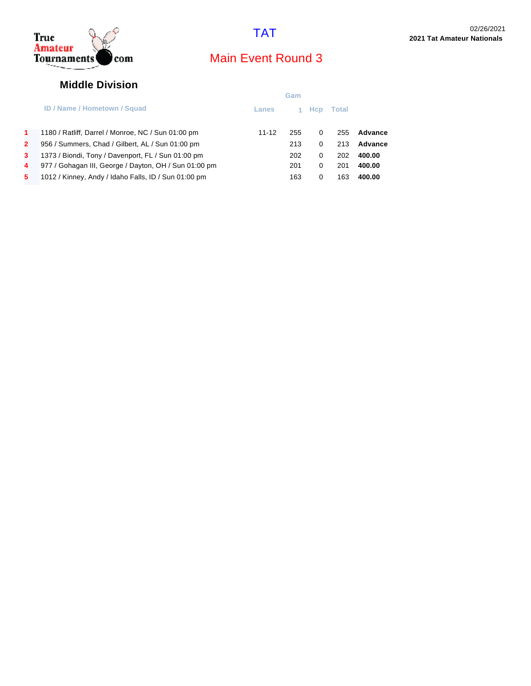

### **Middle Division**

|                                                       | Gam   |     |            |       |         |
|-------------------------------------------------------|-------|-----|------------|-------|---------|
| <b>ID / Name / Hometown / Squad</b>                   | Lanes |     | <b>Hcp</b> | Total |         |
| 1180 / Ratliff, Darrel / Monroe, NC / Sun 01:00 pm    | 11-12 | 255 | 0          | 255   | Advance |
| 956 / Summers, Chad / Gilbert, AL / Sun 01:00 pm      |       | 213 | 0          | 213   | Advance |
| 1373 / Biondi, Tony / Davenport, FL / Sun 01:00 pm    |       | 202 | 0          | 202   | 400.00  |
| 977 / Gohagan III, George / Dayton, OH / Sun 01:00 pm |       | 201 | 0          | 201   | 400.00  |
| 1012 / Kinney, Andy / Idaho Falls, ID / Sun 01:00 pm  |       | 163 | 0          | 163   | 400.00  |
|                                                       |       |     |            |       |         |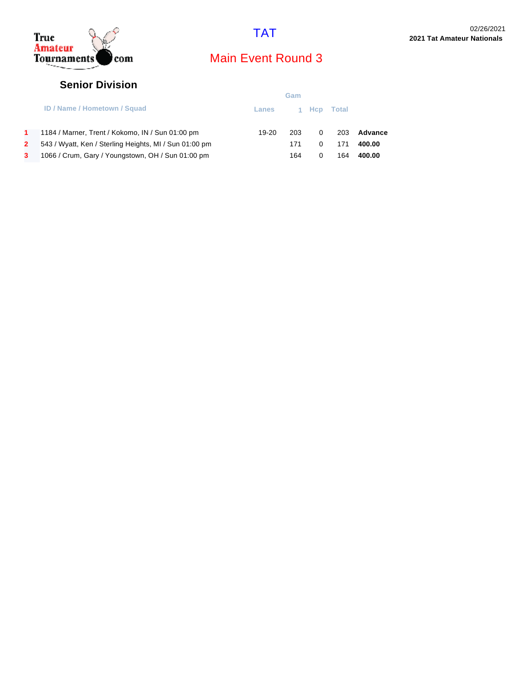



### **Senior Division**

|    |                                                        | Gam     |     |          |       |         |
|----|--------------------------------------------------------|---------|-----|----------|-------|---------|
|    | <b>ID / Name / Hometown / Squad</b>                    | Lanes   |     | 1 Hcp    | Total |         |
| 1. | 1184 / Marner, Trent / Kokomo, IN / Sun 01:00 pm       | $19-20$ | 203 | $\Omega$ | 203   | Advance |
|    | 543 / Wyatt, Ken / Sterling Heights, MI / Sun 01:00 pm |         | 171 | 0        | 171   | 400.00  |
| 3. | 1066 / Crum, Gary / Youngstown, OH / Sun 01:00 pm      |         | 164 | 0        | 164   | 400.00  |
|    |                                                        |         |     |          |       |         |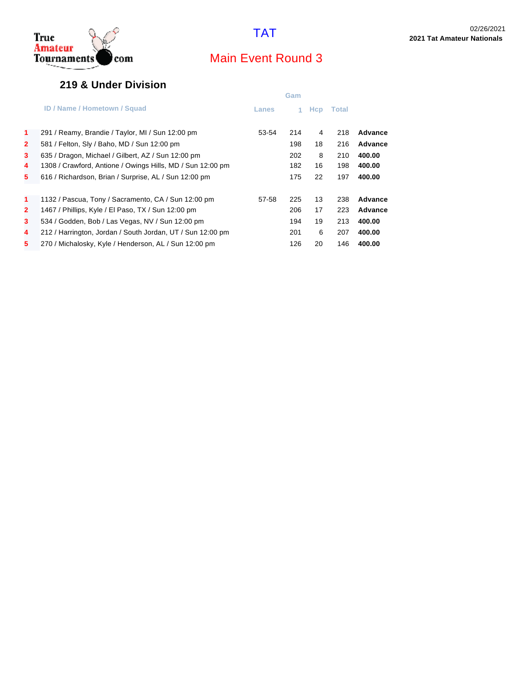



### **219 & Under Division**

|                |                                                            |       | Gam |            |              |         |
|----------------|------------------------------------------------------------|-------|-----|------------|--------------|---------|
|                | <b>ID / Name / Hometown / Squad</b>                        | Lanes |     | <b>Hcp</b> | <b>Total</b> |         |
| $\mathbf{1}$   | 291 / Reamy, Brandie / Taylor, MI / Sun 12:00 pm           | 53-54 | 214 | 4          | 218          | Advance |
| $\mathbf{2}$   | 581 / Felton, Sly / Baho, MD / Sun 12:00 pm                |       | 198 | 18         | 216          | Advance |
| $\mathbf{3}$   | 635 / Dragon, Michael / Gilbert, AZ / Sun 12:00 pm         |       | 202 | 8          | 210          | 400.00  |
| 4              | 1308 / Crawford, Antione / Owings Hills, MD / Sun 12:00 pm |       | 182 | 16         | 198          | 400.00  |
| 5              | 616 / Richardson, Brian / Surprise, AL / Sun 12:00 pm      |       | 175 | 22         | 197          | 400.00  |
|                |                                                            |       |     |            |              |         |
| $\mathbf{1}$   | 1132 / Pascua, Tony / Sacramento, CA / Sun 12:00 pm        | 57-58 | 225 | 13         | 238          | Advance |
| $\overline{2}$ | 1467 / Phillips, Kyle / El Paso, TX / Sun 12:00 pm         |       | 206 | 17         | 223          | Advance |
| 3              | 534 / Godden, Bob / Las Vegas, NV / Sun 12:00 pm           |       | 194 | 19         | 213          | 400.00  |
| 4              | 212 / Harrington, Jordan / South Jordan, UT / Sun 12:00 pm |       | 201 | 6          | 207          | 400.00  |
| 5              | 270 / Michalosky, Kyle / Henderson, AL / Sun 12:00 pm      |       | 126 | 20         | 146          | 400.00  |
|                |                                                            |       |     |            |              |         |